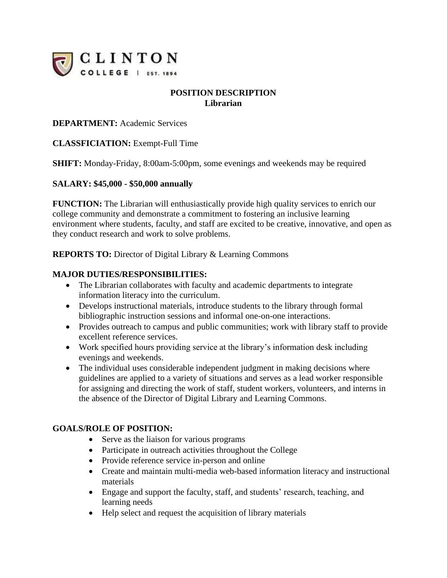

# **POSITION DESCRIPTION Librarian**

## **DEPARTMENT:** Academic Services

## **CLASSFICIATION:** Exempt-Full Time

**SHIFT:** Monday-Friday, 8:00am-5:00pm, some evenings and weekends may be required

## **SALARY: \$45,000 - \$50,000 annually**

**FUNCTION:** The Librarian will enthusiastically provide high quality services to enrich our college community and demonstrate a commitment to fostering an inclusive learning environment where students, faculty, and staff are excited to be creative, innovative, and open as they conduct research and work to solve problems.

**REPORTS TO:** Director of Digital Library & Learning Commons

## **MAJOR DUTIES/RESPONSIBILITIES:**

- The Librarian collaborates with faculty and academic departments to integrate information literacy into the curriculum.
- Develops instructional materials, introduce students to the library through formal bibliographic instruction sessions and informal one-on-one interactions.
- Provides outreach to campus and public communities; work with library staff to provide excellent reference services.
- Work specified hours providing service at the library's information desk including evenings and weekends.
- The individual uses considerable independent judgment in making decisions where guidelines are applied to a variety of situations and serves as a lead worker responsible for assigning and directing the work of staff, student workers, volunteers, and interns in the absence of the Director of Digital Library and Learning Commons.

#### **GOALS/ROLE OF POSITION:**

- Serve as the liaison for various programs
- Participate in outreach activities throughout the College
- Provide reference service in-person and online
- Create and maintain multi-media web-based information literacy and instructional materials
- Engage and support the faculty, staff, and students' research, teaching, and learning needs
- Help select and request the acquisition of library materials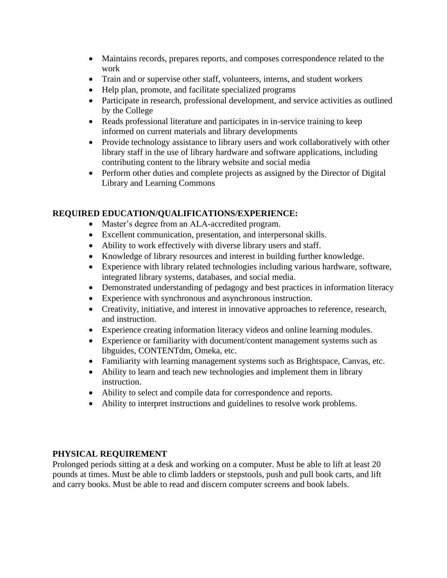- Maintains records, prepares reports, and composes correspondence related to the work
- Train and or supervise other staff, volunteers, interns, and student workers
- Help plan, promote, and facilitate specialized programs
- Participate in research, professional development, and service activities as outlined by the College
- Reads professional literature and participates in in-service training to keep informed on current materials and library developments
- Provide technology assistance to library users and work collaboratively with other library staff in the use of library hardware and software applications, including contributing content to the library website and social media
- Perform other duties and complete projects as assigned by the Director of Digital Library and Learning Commons

## **REQUIRED EDUCATION/QUALIFICATIONS/EXPERIENCE:**

- Master's degree from an ALA-accredited program.
- Excellent communication, presentation, and interpersonal skills.
- Ability to work effectively with diverse library users and staff.
- Knowledge of library resources and interest in building further knowledge.
- Experience with library related technologies including various hardware, software, integrated library systems, databases, and social media.
- Demonstrated understanding of pedagogy and best practices in information literacy
- Experience with synchronous and asynchronous instruction.
- Creativity, initiative, and interest in innovative approaches to reference, research, and instruction.
- Experience creating information literacy videos and online learning modules.
- Experience or familiarity with document/content management systems such as libguides, CONTENTdm, Omeka, etc.
- Familiarity with learning management systems such as Brightspace, Canvas, etc.
- Ability to learn and teach new technologies and implement them in library instruction.
- Ability to select and compile data for correspondence and reports.
- Ability to interpret instructions and guidelines to resolve work problems.

## **PHYSICAL REQUIREMENT**

Prolonged periods sitting at a desk and working on a computer. Must be able to lift at least 20 pounds at times. Must be able to climb ladders or stepstools, push and pull book carts, and lift and carry books. Must be able to read and discern computer screens and book labels.